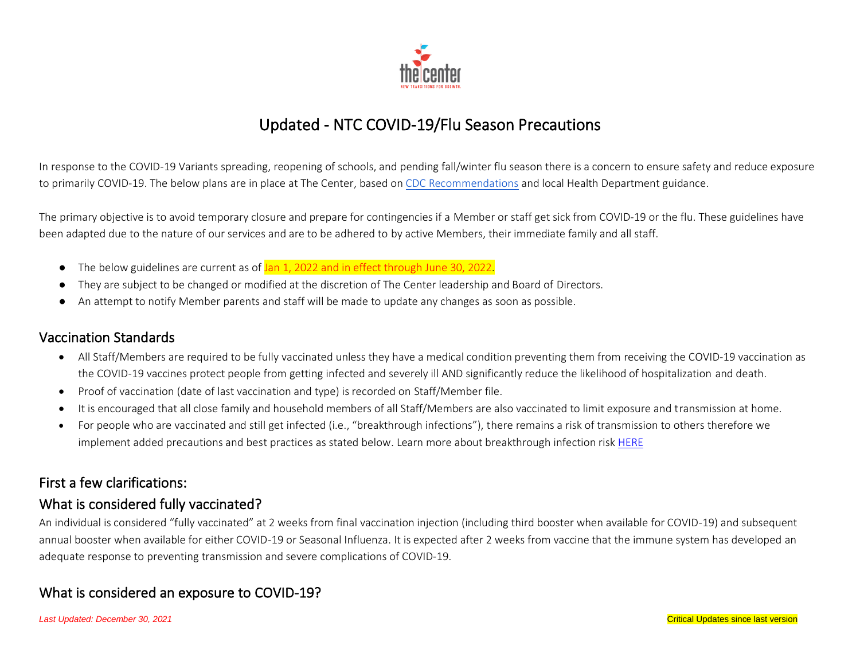

# Updated - NTC COVID-19/Flu Season Precautions

In response to the COVID-19 Variants spreading, reopening of schools, and pending fall/winter flu season there is a concern to ensure safety and reduce exposure to primarily COVID-19. The below plans are in place at The Center, based o[n CDC Recommendations](https://www.cdc.gov/coronavirus/2019-ncov/your-health/quarantine-isolation.html) and local Health Department guidance.

The primary objective is to avoid temporary closure and prepare for contingencies if a Member or staff get sick from COVID-19 or the flu. These guidelines have been adapted due to the nature of our services and are to be adhered to by active Members, their immediate family and all staff.

- The below guidelines are current as of Jan 1, 2022 and in effect through June 30, 2022.
- They are subject to be changed or modified at the discretion of The Center leadership and Board of Directors.
- An attempt to notify Member parents and staff will be made to update any changes as soon as possible.

#### Vaccination Standards

- All Staff/Members are required to be fully vaccinated unless they have a medical condition preventing them from receiving the COVID-19 vaccination as the COVID-19 vaccines protect people from getting infected and severely ill AND significantly reduce the likelihood of hospitalization and death.
- Proof of vaccination (date of last vaccination and type) is recorded on Staff/Member file.
- It is encouraged that all close family and household members of all Staff/Members are also vaccinated to limit exposure and transmission at home.
- For people who are vaccinated and still get infected (i.e., "breakthrough infections"), there remains a risk of transmission to others therefore we implement added precautions and best practices as stated below. Learn more about breakthrough infection risk [HERE](https://www.cdc.gov/coronavirus/2019-ncov/vaccines/effectiveness/why-measure-effectiveness/breakthrough-cases.html)

#### First a few clarifications:

## What is considered fully vaccinated?

An individual is considered "fully vaccinated" at 2 weeks from final vaccination injection (including third booster when available for COVID-19) and subsequent annual booster when available for either COVID-19 or Seasonal Influenza. It is expected after 2 weeks from vaccine that the immune system has developed an adequate response to preventing transmission and severe complications of COVID-19.

## What is considered an exposure to COVID-19?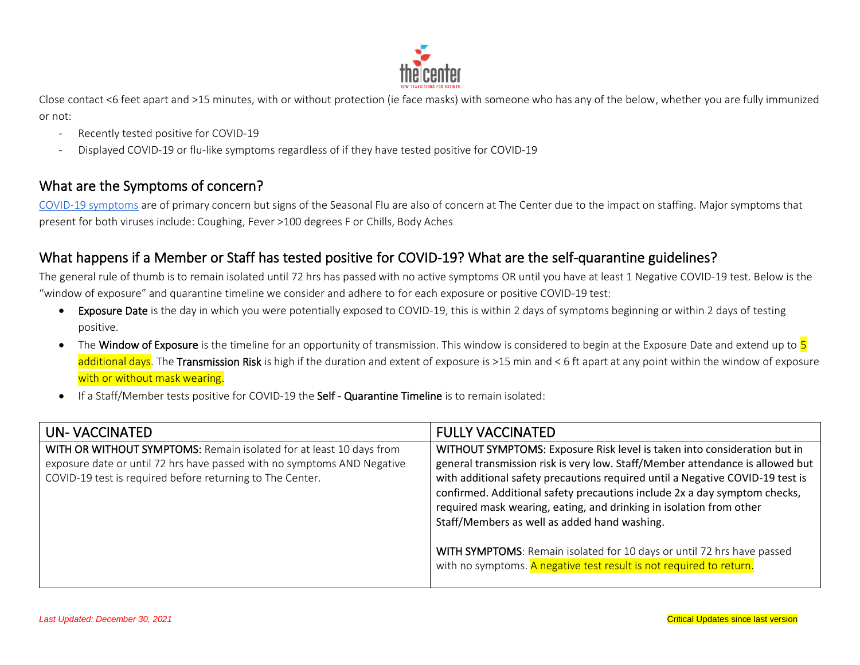

Close contact <6 feet apart and >15 minutes, with or without protection (ie face masks) with someone who has any of the below, whether you are fully immunized or not:

- Recently tested positive for COVID-19
- Displayed COVID-19 or flu-like symptoms regardless of if they have tested positive for COVID-19

## What are the Symptoms of concern?

[COVID-19 symptoms](https://www.cdc.gov/coronavirus/2019-ncov/symptoms-testing/symptoms.html) are of primary concern but signs of the Seasonal Flu are also of concern at The Center due to the impact on staffing. Major symptoms that present for both viruses include: Coughing, Fever >100 degrees F or Chills, Body Aches

## What happens if a Member or Staff has tested positive for COVID-19? What are the self-quarantine guidelines?

The general rule of thumb is to remain isolated until 72 hrs has passed with no active symptoms OR until you have at least 1 Negative COVID-19 test. Below is the "window of exposure" and quarantine timeline we consider and adhere to for each exposure or positive COVID-19 test:

- Exposure Date is the day in which you were potentially exposed to COVID-19, this is within 2 days of symptoms beginning or within 2 days of testing positive.
- The Window of Exposure is the timeline for an opportunity of transmission. This window is considered to begin at the Exposure Date and extend up to 5 additional days. The Transmission Risk is high if the duration and extent of exposure is >15 min and < 6 ft apart at any point within the window of exposure with or without mask wearing.
- If a Staff/Member tests positive for COVID-19 the Self Quarantine Timeline is to remain isolated:

| UN-VACCINATED                                                                                                                                                                                               | <b>FULLY VACCINATED</b>                                                                                                                                                                                                                                                                                                                                                                                                                                                                                                                                                                         |
|-------------------------------------------------------------------------------------------------------------------------------------------------------------------------------------------------------------|-------------------------------------------------------------------------------------------------------------------------------------------------------------------------------------------------------------------------------------------------------------------------------------------------------------------------------------------------------------------------------------------------------------------------------------------------------------------------------------------------------------------------------------------------------------------------------------------------|
| WITH OR WITHOUT SYMPTOMS: Remain isolated for at least 10 days from<br>exposure date or until 72 hrs have passed with no symptoms AND Negative<br>COVID-19 test is required before returning to The Center. | WITHOUT SYMPTOMS: Exposure Risk level is taken into consideration but in<br>general transmission risk is very low. Staff/Member attendance is allowed but<br>with additional safety precautions required until a Negative COVID-19 test is<br>confirmed. Additional safety precautions include 2x a day symptom checks,<br>required mask wearing, eating, and drinking in isolation from other<br>Staff/Members as well as added hand washing.<br>WITH SYMPTOMS: Remain isolated for 10 days or until 72 hrs have passed<br>with no symptoms. A negative test result is not required to return. |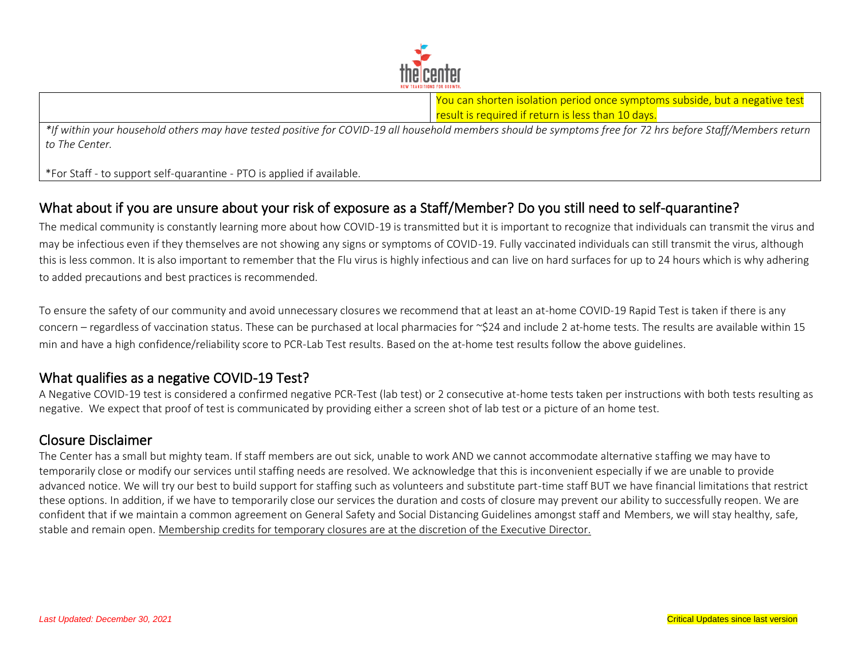

You can shorten isolation period once symptoms subside, but a negative test result is required if return is less than 10 days.

*\*If within your household others may have tested positive for COVID-19 all household members should be symptoms free for 72 hrs before Staff/Members return to The Center.* 

\*For Staff - to support self-quarantine - PTO is applied if available.

## What about if you are unsure about your risk of exposure as a Staff/Member? Do you still need to self-quarantine?

The medical community is constantly learning more about how COVID-19 is transmitted but it is important to recognize that individuals can transmit the virus and may be infectious even if they themselves are not showing any signs or symptoms of COVID-19. Fully vaccinated individuals can still transmit the virus, although this is less common. It is also important to remember that the Flu virus is highly infectious and can live on hard surfaces for up to 24 hours which is why adhering to added precautions and best practices is recommended.

To ensure the safety of our community and avoid unnecessary closures we recommend that at least an at-home COVID-19 Rapid Test is taken if there is any concern – regardless of vaccination status. These can be purchased at local pharmacies for ~\$24 and include 2 at-home tests. The results are available within 15 min and have a high confidence/reliability score to PCR-Lab Test results. Based on the at-home test results follow the above guidelines.

## What qualifies as a negative COVID-19 Test?

A Negative COVID-19 test is considered a confirmed negative PCR-Test (lab test) or 2 consecutive at-home tests taken per instructions with both tests resulting as negative. We expect that proof of test is communicated by providing either a screen shot of lab test or a picture of an home test.

#### Closure Disclaimer

The Center has a small but mighty team. If staff members are out sick, unable to work AND we cannot accommodate alternative staffing we may have to temporarily close or modify our services until staffing needs are resolved. We acknowledge that this is inconvenient especially if we are unable to provide advanced notice. We will try our best to build support for staffing such as volunteers and substitute part-time staff BUT we have financial limitations that restrict these options. In addition, if we have to temporarily close our services the duration and costs of closure may prevent our ability to successfully reopen. We are confident that if we maintain a common agreement on General Safety and Social Distancing Guidelines amongst staff and Members, we will stay healthy, safe, stable and remain open. Membership credits for temporary closures are at the discretion of the Executive Director.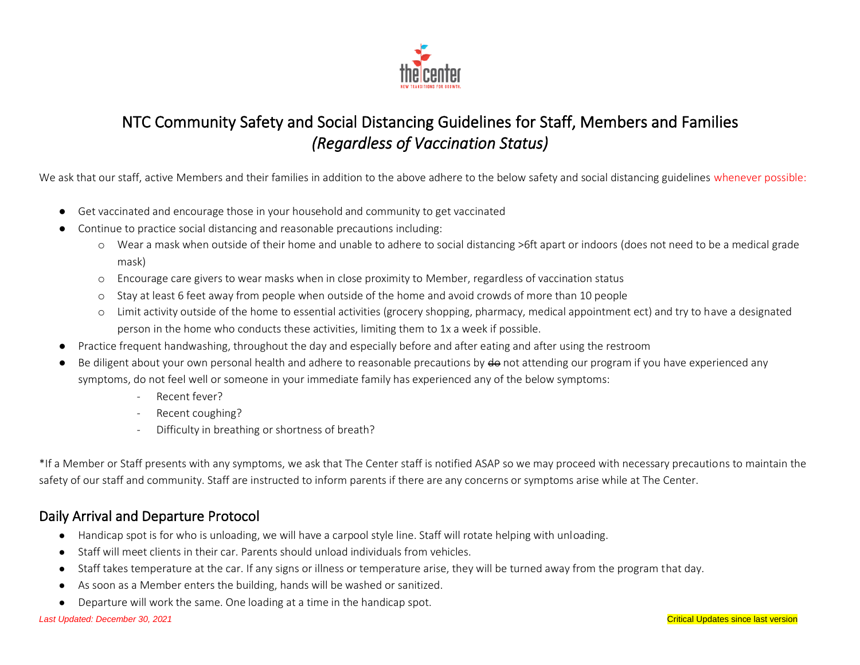

# NTC Community Safety and Social Distancing Guidelines for Staff, Members and Families *(Regardless of Vaccination Status)*

We ask that our staff, active Members and their families in addition to the above adhere to the below safety and social distancing guidelines whenever possible:

- Get vaccinated and encourage those in your household and community to get vaccinated
- Continue to practice social distancing and reasonable precautions including:
	- o Wear a mask when outside of their home and unable to adhere to social distancing >6ft apart or indoors (does not need to be a medical grade mask)
	- o Encourage care givers to wear masks when in close proximity to Member, regardless of vaccination status
	- o Stay at least 6 feet away from people when outside of the home and avoid crowds of more than 10 people
	- o Limit activity outside of the home to essential activities (grocery shopping, pharmacy, medical appointment ect) and try to have a designated person in the home who conducts these activities, limiting them to 1x a week if possible.
- Practice frequent handwashing, throughout the day and especially before and after eating and after using the restroom
- Be diligent about your own personal health and adhere to reasonable precautions by do not attending our program if you have experienced any symptoms, do not feel well or someone in your immediate family has experienced any of the below symptoms:
	- Recent fever?
	- Recent coughing?
	- Difficulty in breathing or shortness of breath?

\*If a Member or Staff presents with any symptoms, we ask that The Center staff is notified ASAP so we may proceed with necessary precautions to maintain the safety of our staff and community. Staff are instructed to inform parents if there are any concerns or symptoms arise while at The Center.

# Daily Arrival and Departure Protocol

- Handicap spot is for who is unloading, we will have a carpool style line. Staff will rotate helping with unloading.
- Staff will meet clients in their car. Parents should unload individuals from vehicles.
- Staff takes temperature at the car. If any signs or illness or temperature arise, they will be turned away from the program that day.
- As soon as a Member enters the building, hands will be washed or sanitized.
- Departure will work the same. One loading at a time in the handicap spot.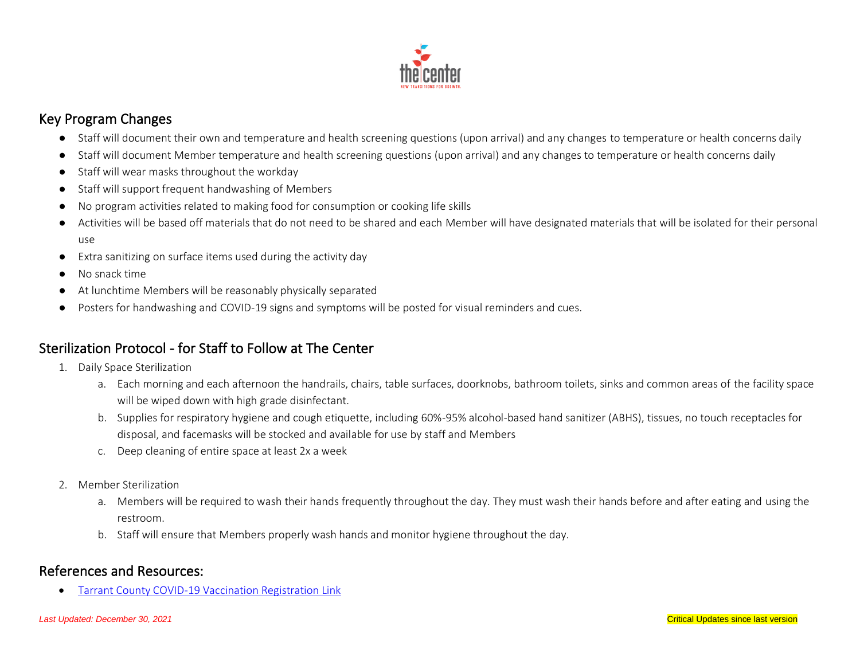

## Key Program Changes

- Staff will document their own and temperature and health screening questions (upon arrival) and any changes to temperature or health concerns daily
- Staff will document Member temperature and health screening questions (upon arrival) and any changes to temperature or health concerns daily
- Staff will wear masks throughout the workday
- Staff will support frequent handwashing of Members
- No program activities related to making food for consumption or cooking life skills
- Activities will be based off materials that do not need to be shared and each Member will have designated materials that will be isolated for their personal use
- Extra sanitizing on surface items used during the activity day
- No snack time
- At lunchtime Members will be reasonably physically separated
- Posters for handwashing and COVID-19 signs and symptoms will be posted for visual reminders and cues.

## Sterilization Protocol - for Staff to Follow at The Center

- 1. Daily Space Sterilization
	- a. Each morning and each afternoon the handrails, chairs, table surfaces, doorknobs, bathroom toilets, sinks and common areas of the facility space will be wiped down with high grade disinfectant.
	- b. Supplies for respiratory hygiene and cough etiquette, including 60%-95% alcohol-based hand sanitizer (ABHS), tissues, no touch receptacles for disposal, and facemasks will be stocked and available for use by staff and Members
	- c. Deep cleaning of entire space at least 2x a week
- 2. Member Sterilization
	- a. Members will be required to wash their hands frequently throughout the day. They must wash their hands before and after eating and using the restroom.
	- b. Staff will ensure that Members properly wash hands and monitor hygiene throughout the day.

## References and Resources:

• [Tarrant County COVID-19 Vaccination Registration Link](https://www.tarrantcounty.com/en/public-health/disease-control---prevention/COVID-19/COVID-19-Vaccine.html)